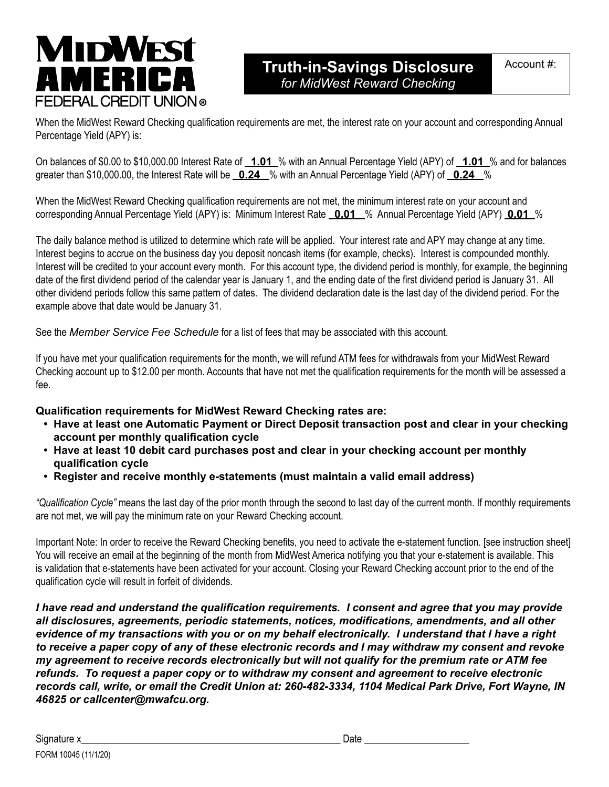## **MIDWEST AMERIC/ FEDERAL CREDIT UNION ®**

## **Truth-in-Savings Disclosure** *for MidWest Reward Checking*

When the MidWest Reward Checking qualification requirements are met, the interest rate on your account and corresponding Annual Percentage Yield (APY) is:

On balances of \$0.00 to \$10,000.00 Interest Rate of **1.01** % with an Annual Percentage Yield (APY) of **1.01** % and for balances greater than \$10,000.00, the Interest Rate will be **0.24** % with an Annual Percentage Yield (APY) of **0.24** %

When the MidWest Reward Checking qualification requirements are not met, the minimum interest rate on your account and corresponding Annual Percentage Yield (APY) is: Minimum Interest Rate **0.01** % Annual Percentage Yield (APY) **0.01** %

The daily balance method is utilized to determine which rate will be applied. Your interest rate and APY may change at any time. Interest begins to accrue on the business day you deposit noncash items (for example, checks). Interest is compounded monthly. Interest will be credited to your account every month. For this account type, the dividend period is monthly, for example, the beginning date of the first dividend period of the calendar year is January 1, and the ending date of the first dividend period is January 31. All other dividend periods follow this same pattern of dates. The dividend declaration date is the last day of the dividend period. For the example above that date would be January 31.

See the *Member Service Fee Schedule* for a list of fees that may be associated with this account.

If you have met your qualification requirements for the month, we will refund ATM fees for withdrawals from your MidWest Reward Checking account up to \$12.00 per month. Accounts that have not met the qualification requirements for the month will be assessed a fee.

## **Qualification requirements for MidWest Reward Checking rates are:**

- **• Have at least one Automatic Payment or Direct Deposit transaction post and clear in your checking account per monthly qualification cycle**
- **• Have at least 10 debit card purchases post and clear in your checking account per monthly qualification cycle**
- **• Register and receive monthly e-statements (must maintain a valid email address)**

*"Qualification Cycle"* means the last day of the prior month through the second to last day of the current month. If monthly requirements are not met, we will pay the minimum rate on your Reward Checking account.

Important Note: In order to receive the Reward Checking benefits, you need to activate the e-statement function. [see instruction sheet] You will receive an email at the beginning of the month from MidWest America notifying you that your e-statement is available. This is validation that e-statements have been activated for your account. Closing your Reward Checking account prior to the end of the qualification cycle will result in forfeit of dividends.

*I have read and understand the qualification requirements. I consent and agree that you may provide all disclosures, agreements, periodic statements, notices, modifications, amendments, and all other evidence of my transactions with you or on my behalf electronically. I understand that I have a right to receive a paper copy of any of these electronic records and I may withdraw my consent and revoke my agreement to receive records electronically but will not qualify for the premium rate or ATM fee refunds. To request a paper copy or to withdraw my consent and agreement to receive electronic records call, write, or email the Credit Union at: 260-482-3334, 1104 Medical Park Drive, Fort Wayne, IN 46825 or callcenter@mwafcu.org.*